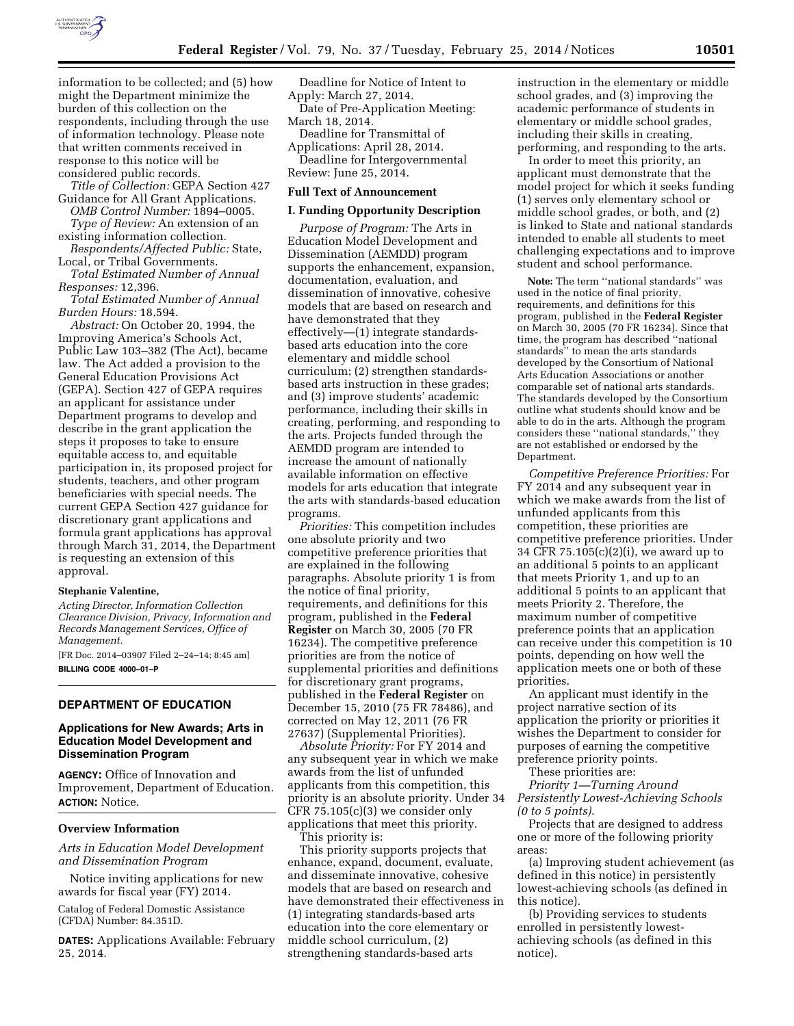

information to be collected; and (5) how might the Department minimize the burden of this collection on the respondents, including through the use of information technology. Please note that written comments received in response to this notice will be considered public records.

*Title of Collection:* GEPA Section 427 Guidance for All Grant Applications.

*OMB Control Number:* 1894–0005. *Type of Review:* An extension of an existing information collection.

*Respondents/Affected Public:* State, Local, or Tribal Governments.

*Total Estimated Number of Annual Responses:* 12,396.

*Total Estimated Number of Annual Burden Hours:* 18,594.

*Abstract:* On October 20, 1994, the Improving America's Schools Act, Public Law 103–382 (The Act), became law. The Act added a provision to the General Education Provisions Act (GEPA). Section 427 of GEPA requires an applicant for assistance under Department programs to develop and describe in the grant application the steps it proposes to take to ensure equitable access to, and equitable participation in, its proposed project for students, teachers, and other program beneficiaries with special needs. The current GEPA Section 427 guidance for discretionary grant applications and formula grant applications has approval through March 31, 2014, the Department is requesting an extension of this approval.

## **Stephanie Valentine,**

*Acting Director, Information Collection Clearance Division, Privacy, Information and Records Management Services, Office of Management.* 

[FR Doc. 2014–03907 Filed 2–24–14; 8:45 am]

**BILLING CODE 4000–01–P** 

# **DEPARTMENT OF EDUCATION**

## **Applications for New Awards; Arts in Education Model Development and Dissemination Program**

**AGENCY:** Office of Innovation and Improvement, Department of Education. **ACTION:** Notice.

### **Overview Information**

*Arts in Education Model Development and Dissemination Program* 

Notice inviting applications for new awards for fiscal year (FY) 2014.

Catalog of Federal Domestic Assistance (CFDA) Number: 84.351D.

**DATES:** Applications Available: February 25, 2014.

Deadline for Notice of Intent to Apply: March 27, 2014.

Date of Pre-Application Meeting: March 18, 2014.

Deadline for Transmittal of Applications: April 28, 2014.

Deadline for Intergovernmental Review: June 25, 2014.

### **Full Text of Announcement**

### **I. Funding Opportunity Description**

*Purpose of Program:* The Arts in Education Model Development and Dissemination (AEMDD) program supports the enhancement, expansion, documentation, evaluation, and dissemination of innovative, cohesive models that are based on research and have demonstrated that they effectively—(1) integrate standardsbased arts education into the core elementary and middle school curriculum; (2) strengthen standardsbased arts instruction in these grades; and (3) improve students' academic performance, including their skills in creating, performing, and responding to the arts. Projects funded through the AEMDD program are intended to increase the amount of nationally available information on effective models for arts education that integrate the arts with standards-based education programs.

*Priorities:* This competition includes one absolute priority and two competitive preference priorities that are explained in the following paragraphs. Absolute priority 1 is from the notice of final priority, requirements, and definitions for this program, published in the **Federal Register** on March 30, 2005 (70 FR 16234). The competitive preference priorities are from the notice of supplemental priorities and definitions for discretionary grant programs, published in the **Federal Register** on December 15, 2010 (75 FR 78486), and corrected on May 12, 2011 (76 FR 27637) (Supplemental Priorities).

*Absolute Priority:* For FY 2014 and any subsequent year in which we make awards from the list of unfunded applicants from this competition, this priority is an absolute priority. Under 34 CFR 75.105(c)(3) we consider only applications that meet this priority.

This priority is:

This priority supports projects that enhance, expand, document, evaluate, and disseminate innovative, cohesive models that are based on research and have demonstrated their effectiveness in (1) integrating standards-based arts education into the core elementary or middle school curriculum, (2) strengthening standards-based arts

instruction in the elementary or middle school grades, and (3) improving the academic performance of students in elementary or middle school grades, including their skills in creating, performing, and responding to the arts.

In order to meet this priority, an applicant must demonstrate that the model project for which it seeks funding (1) serves only elementary school or middle school grades, or both, and (2) is linked to State and national standards intended to enable all students to meet challenging expectations and to improve student and school performance.

**Note:** The term ''national standards'' was used in the notice of final priority, requirements, and definitions for this program, published in the **Federal Register**  on March 30, 2005 (70 FR 16234). Since that time, the program has described ''national standards'' to mean the arts standards developed by the Consortium of National Arts Education Associations or another comparable set of national arts standards. The standards developed by the Consortium outline what students should know and be able to do in the arts. Although the program considers these ''national standards,'' they are not established or endorsed by the Department.

*Competitive Preference Priorities:* For FY 2014 and any subsequent year in which we make awards from the list of unfunded applicants from this competition, these priorities are competitive preference priorities. Under 34 CFR 75.105(c)(2)(i), we award up to an additional 5 points to an applicant that meets Priority 1, and up to an additional 5 points to an applicant that meets Priority 2. Therefore, the maximum number of competitive preference points that an application can receive under this competition is 10 points, depending on how well the application meets one or both of these priorities.

An applicant must identify in the project narrative section of its application the priority or priorities it wishes the Department to consider for purposes of earning the competitive preference priority points.

These priorities are:

*Priority 1—Turning Around Persistently Lowest-Achieving Schools (0 to 5 points)*.

Projects that are designed to address one or more of the following priority areas:

(a) Improving student achievement (as defined in this notice) in persistently lowest-achieving schools (as defined in this notice).

(b) Providing services to students enrolled in persistently lowestachieving schools (as defined in this notice).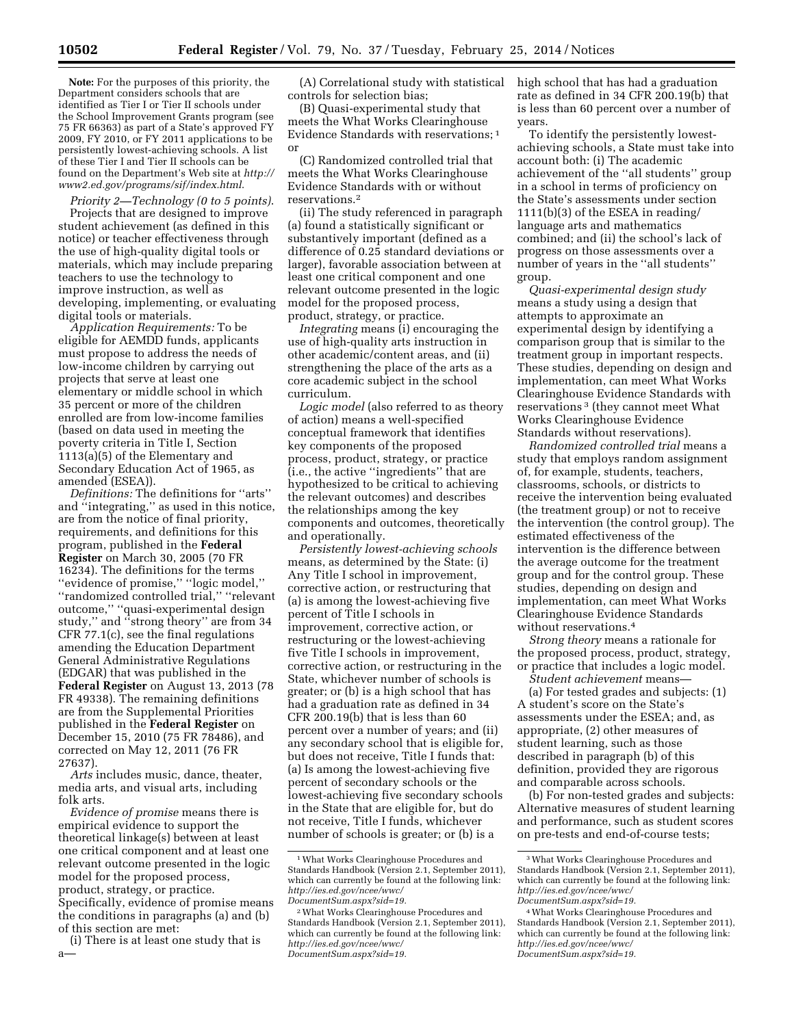**Note:** For the purposes of this priority, the Department considers schools that are identified as Tier I or Tier II schools under the School Improvement Grants program (see 75 FR 66363) as part of a State's approved FY 2009, FY 2010, or FY 2011 applications to be persistently lowest-achieving schools. A list of these Tier I and Tier II schools can be found on the Department's Web site at *[http://](http://www2.ed.gov/programs/sif/index.html)  [www2.ed.gov/programs/sif/index.html](http://www2.ed.gov/programs/sif/index.html)*.

*Priority 2—Technology (0 to 5 points)*. Projects that are designed to improve student achievement (as defined in this notice) or teacher effectiveness through the use of high-quality digital tools or materials, which may include preparing teachers to use the technology to improve instruction, as well as developing, implementing, or evaluating digital tools or materials.

*Application Requirements:* To be eligible for AEMDD funds, applicants must propose to address the needs of low-income children by carrying out projects that serve at least one elementary or middle school in which 35 percent or more of the children enrolled are from low-income families (based on data used in meeting the poverty criteria in Title I, Section 1113(a)(5) of the Elementary and Secondary Education Act of 1965, as amended (ESEA)).

*Definitions:* The definitions for ''arts'' and ''integrating,'' as used in this notice, are from the notice of final priority, requirements, and definitions for this program, published in the **Federal Register** on March 30, 2005 (70 FR 16234). The definitions for the terms ''evidence of promise,'' ''logic model,'' ''randomized controlled trial,'' ''relevant outcome,'' ''quasi-experimental design study,'' and ''strong theory'' are from 34 CFR 77.1(c), see the final regulations amending the Education Department General Administrative Regulations (EDGAR) that was published in the **Federal Register** on August 13, 2013 (78 FR 49338). The remaining definitions are from the Supplemental Priorities published in the **Federal Register** on December 15, 2010 (75 FR 78486), and corrected on May 12, 2011 (76 FR 27637).

*Arts* includes music, dance, theater, media arts, and visual arts, including folk arts.

*Evidence of promise* means there is empirical evidence to support the theoretical linkage(s) between at least one critical component and at least one relevant outcome presented in the logic model for the proposed process, product, strategy, or practice. Specifically, evidence of promise means the conditions in paragraphs (a) and (b) of this section are met:

(i) There is at least one study that is a—

(A) Correlational study with statistical controls for selection bias;

(B) Quasi-experimental study that meets the What Works Clearinghouse Evidence Standards with reservations; 1 or

(C) Randomized controlled trial that meets the What Works Clearinghouse Evidence Standards with or without reservations.<sup>2</sup>

(ii) The study referenced in paragraph (a) found a statistically significant or substantively important (defined as a difference of 0.25 standard deviations or larger), favorable association between at least one critical component and one relevant outcome presented in the logic model for the proposed process, product, strategy, or practice.

*Integrating* means (i) encouraging the use of high-quality arts instruction in other academic/content areas, and (ii) strengthening the place of the arts as a core academic subject in the school curriculum.

*Logic model* (also referred to as theory of action) means a well-specified conceptual framework that identifies key components of the proposed process, product, strategy, or practice (i.e., the active ''ingredients'' that are hypothesized to be critical to achieving the relevant outcomes) and describes the relationships among the key components and outcomes, theoretically and operationally.

*Persistently lowest-achieving schools*  means, as determined by the State: (i) Any Title I school in improvement, corrective action, or restructuring that (a) is among the lowest-achieving five percent of Title I schools in improvement, corrective action, or restructuring or the lowest-achieving five Title I schools in improvement, corrective action, or restructuring in the State, whichever number of schools is greater; or (b) is a high school that has had a graduation rate as defined in 34 CFR 200.19(b) that is less than 60 percent over a number of years; and (ii) any secondary school that is eligible for, but does not receive, Title I funds that: (a) Is among the lowest-achieving five percent of secondary schools or the lowest-achieving five secondary schools in the State that are eligible for, but do not receive, Title I funds, whichever number of schools is greater; or (b) is a

high school that has had a graduation rate as defined in 34 CFR 200.19(b) that is less than 60 percent over a number of years.

To identify the persistently lowestachieving schools, a State must take into account both: (i) The academic achievement of the ''all students'' group in a school in terms of proficiency on the State's assessments under section 1111(b)(3) of the ESEA in reading/ language arts and mathematics combined; and (ii) the school's lack of progress on those assessments over a number of years in the ''all students'' group.

*Quasi-experimental design study*  means a study using a design that attempts to approximate an experimental design by identifying a comparison group that is similar to the treatment group in important respects. These studies, depending on design and implementation, can meet What Works Clearinghouse Evidence Standards with reservations 3 (they cannot meet What Works Clearinghouse Evidence Standards without reservations).

*Randomized controlled trial* means a study that employs random assignment of, for example, students, teachers, classrooms, schools, or districts to receive the intervention being evaluated (the treatment group) or not to receive the intervention (the control group). The estimated effectiveness of the intervention is the difference between the average outcome for the treatment group and for the control group. These studies, depending on design and implementation, can meet What Works Clearinghouse Evidence Standards without reservations.4

*Strong theory* means a rationale for the proposed process, product, strategy, or practice that includes a logic model.

*Student achievement* means— (a) For tested grades and subjects: (1) A student's score on the State's assessments under the ESEA; and, as appropriate, (2) other measures of student learning, such as those described in paragraph (b) of this definition, provided they are rigorous and comparable across schools.

(b) For non-tested grades and subjects: Alternative measures of student learning and performance, such as student scores on pre-tests and end-of-course tests;

<sup>1</sup>What Works Clearinghouse Procedures and Standards Handbook (Version 2.1, September 2011), which can currently be found at the following link: *[http://ies.ed.gov/ncee/wwc/](http://ies.ed.gov/ncee/wwc/DocumentSum.aspx?sid=19) [DocumentSum.aspx?sid=19.](http://ies.ed.gov/ncee/wwc/DocumentSum.aspx?sid=19)* 

<sup>2</sup>What Works Clearinghouse Procedures and Standards Handbook (Version 2.1, September 2011), which can currently be found at the following link: *[http://ies.ed.gov/ncee/wwc/](http://ies.ed.gov/ncee/wwc/DocumentSum.aspx?sid=19) [DocumentSum.aspx?sid=19.](http://ies.ed.gov/ncee/wwc/DocumentSum.aspx?sid=19)* 

<sup>3</sup>What Works Clearinghouse Procedures and Standards Handbook (Version 2.1, September 2011), which can currently be found at the following link: *[http://ies.ed.gov/ncee/wwc/](http://ies.ed.gov/ncee/wwc/DocumentSum.aspx?sid=19) [DocumentSum.aspx?sid=19.](http://ies.ed.gov/ncee/wwc/DocumentSum.aspx?sid=19)* 

<sup>4</sup>What Works Clearinghouse Procedures and Standards Handbook (Version 2.1, September 2011), which can currently be found at the following link: *[http://ies.ed.gov/ncee/wwc/](http://ies.ed.gov/ncee/wwc/DocumentSum.aspx?sid=19) [DocumentSum.aspx?sid=19.](http://ies.ed.gov/ncee/wwc/DocumentSum.aspx?sid=19)*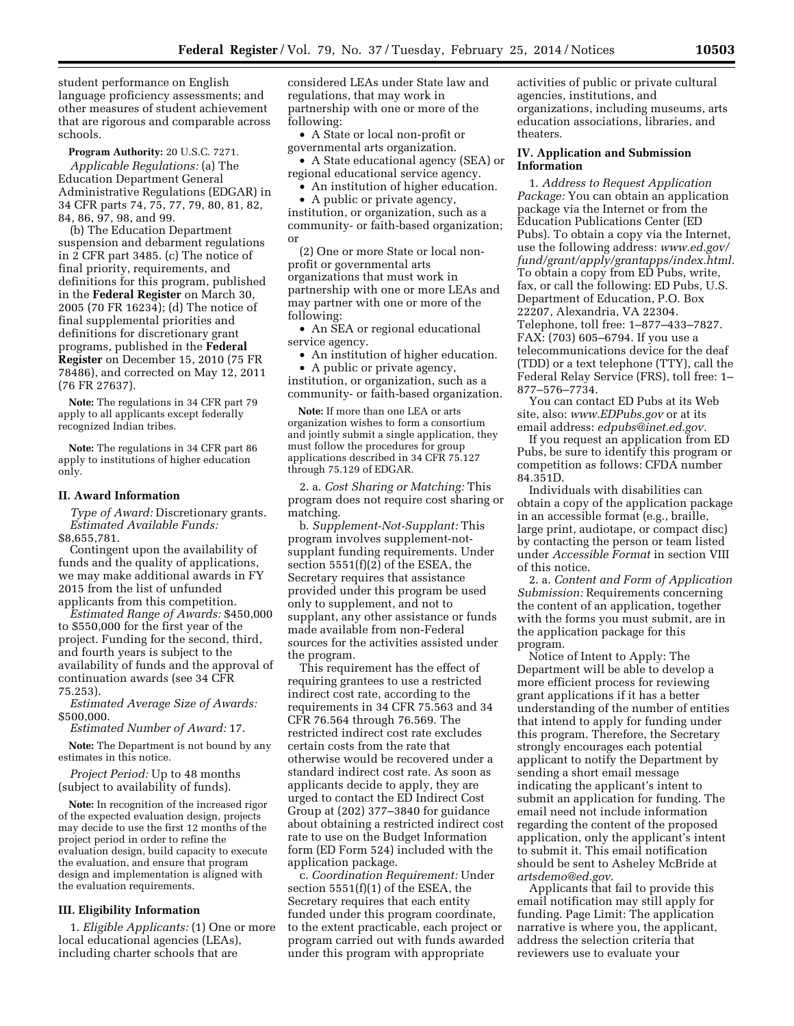student performance on English language proficiency assessments; and other measures of student achievement that are rigorous and comparable across schools.

**Program Authority:** 20 U.S.C. 7271. *Applicable Regulations:* (a) The Education Department General Administrative Regulations (EDGAR) in 34 CFR parts 74, 75, 77, 79, 80, 81, 82, 84, 86, 97, 98, and 99.

(b) The Education Department suspension and debarment regulations in 2 CFR part 3485. (c) The notice of final priority, requirements, and definitions for this program, published in the **Federal Register** on March 30, 2005 (70 FR 16234); (d) The notice of final supplemental priorities and definitions for discretionary grant programs, published in the **Federal Register** on December 15, 2010 (75 FR 78486), and corrected on May 12, 2011 (76 FR 27637).

**Note:** The regulations in 34 CFR part 79 apply to all applicants except federally recognized Indian tribes.

**Note:** The regulations in 34 CFR part 86 apply to institutions of higher education only.

#### **II. Award Information**

*Type of Award:* Discretionary grants. *Estimated Available Funds:*  \$8,655,781.

Contingent upon the availability of funds and the quality of applications, we may make additional awards in FY 2015 from the list of unfunded applicants from this competition.

*Estimated Range of Awards:* \$450,000 to \$550,000 for the first year of the project. Funding for the second, third, and fourth years is subject to the availability of funds and the approval of continuation awards (see 34 CFR 75.253).

*Estimated Average Size of Awards:*  \$500,000.

*Estimated Number of Award:* 17.

**Note:** The Department is not bound by any estimates in this notice.

*Project Period:* Up to 48 months (subject to availability of funds).

**Note:** In recognition of the increased rigor of the expected evaluation design, projects may decide to use the first 12 months of the project period in order to refine the evaluation design, build capacity to execute the evaluation, and ensure that program design and implementation is aligned with the evaluation requirements.

# **III. Eligibility Information**

1. *Eligible Applicants:* (1) One or more local educational agencies (LEAs), including charter schools that are

considered LEAs under State law and regulations, that may work in partnership with one or more of the following:

• A State or local non-profit or governmental arts organization.

• A State educational agency (SEA) or regional educational service agency.

• An institution of higher education.

• A public or private agency, institution, or organization, such as a community- or faith-based organization; or

(2) One or more State or local nonprofit or governmental arts organizations that must work in partnership with one or more LEAs and may partner with one or more of the following:

• An SEA or regional educational service agency.

• An institution of higher education.

• A public or private agency, institution, or organization, such as a community- or faith-based organization.

**Note:** If more than one LEA or arts organization wishes to form a consortium and jointly submit a single application, they must follow the procedures for group applications described in 34 CFR 75.127 through 75.129 of EDGAR.

2. a. *Cost Sharing or Matching:* This program does not require cost sharing or matching.

b. *Supplement-Not-Supplant:* This program involves supplement-notsupplant funding requirements. Under section 5551(f)(2) of the ESEA, the Secretary requires that assistance provided under this program be used only to supplement, and not to supplant, any other assistance or funds made available from non-Federal sources for the activities assisted under the program.

This requirement has the effect of requiring grantees to use a restricted indirect cost rate, according to the requirements in 34 CFR 75.563 and 34 CFR 76.564 through 76.569. The restricted indirect cost rate excludes certain costs from the rate that otherwise would be recovered under a standard indirect cost rate. As soon as applicants decide to apply, they are urged to contact the ED Indirect Cost Group at (202) 377–3840 for guidance about obtaining a restricted indirect cost rate to use on the Budget Information form (ED Form 524) included with the application package.

c. *Coordination Requirement:* Under section 5551(f)(1) of the ESEA, the Secretary requires that each entity funded under this program coordinate, to the extent practicable, each project or program carried out with funds awarded under this program with appropriate

activities of public or private cultural agencies, institutions, and organizations, including museums, arts education associations, libraries, and theaters.

## **IV. Application and Submission Information**

1. *Address to Request Application Package:* You can obtain an application package via the Internet or from the Education Publications Center (ED Pubs). To obtain a copy via the Internet, use the following address: *[www.ed.gov/](http://www.ed.gov/fund/grant/apply/grantapps/index.html) [fund/grant/apply/grantapps/index.html.](http://www.ed.gov/fund/grant/apply/grantapps/index.html)*  To obtain a copy from ED Pubs, write, fax, or call the following: ED Pubs, U.S. Department of Education, P.O. Box 22207, Alexandria, VA 22304. Telephone, toll free: 1–877–433–7827. FAX: (703) 605–6794. If you use a telecommunications device for the deaf (TDD) or a text telephone (TTY), call the Federal Relay Service (FRS), toll free: 1– 877–576–7734.

You can contact ED Pubs at its Web site, also: *[www.EDPubs.gov](http://www.EDPubs.gov)* or at its email address: *[edpubs@inet.ed.gov.](mailto:edpubs@inet.ed.gov)* 

If you request an application from ED Pubs, be sure to identify this program or competition as follows: CFDA number 84.351D.

Individuals with disabilities can obtain a copy of the application package in an accessible format (e.g., braille, large print, audiotape, or compact disc) by contacting the person or team listed under *Accessible Format* in section VIII of this notice.

2. a. *Content and Form of Application Submission:* Requirements concerning the content of an application, together with the forms you must submit, are in the application package for this program.

Notice of Intent to Apply: The Department will be able to develop a more efficient process for reviewing grant applications if it has a better understanding of the number of entities that intend to apply for funding under this program. Therefore, the Secretary strongly encourages each potential applicant to notify the Department by sending a short email message indicating the applicant's intent to submit an application for funding. The email need not include information regarding the content of the proposed application, only the applicant's intent to submit it. This email notification should be sent to Asheley McBride at *[artsdemo@ed.gov.](mailto:artsdemo@ed.gov)* 

Applicants that fail to provide this email notification may still apply for funding. Page Limit: The application narrative is where you, the applicant, address the selection criteria that reviewers use to evaluate your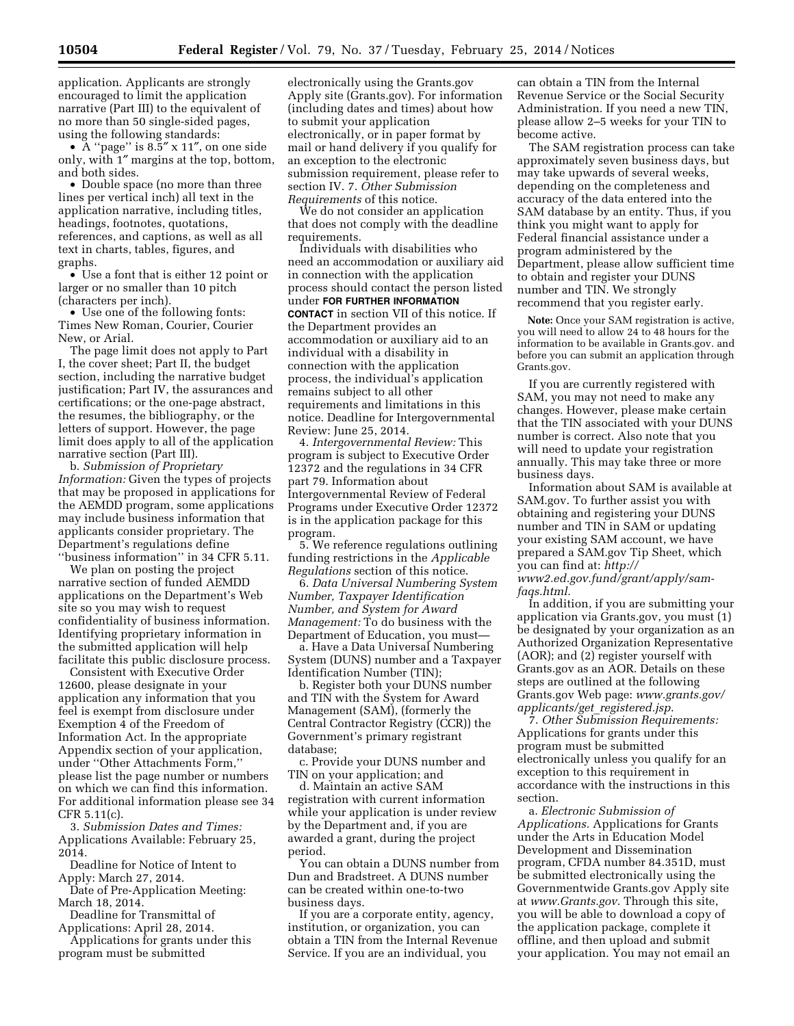application. Applicants are strongly encouraged to limit the application narrative (Part III) to the equivalent of no more than 50 single-sided pages, using the following standards:

• A "page" is  $8.\overline{5}$ " x 11", on one side only, with 1″ margins at the top, bottom, and both sides.

• Double space (no more than three lines per vertical inch) all text in the application narrative, including titles, headings, footnotes, quotations, references, and captions, as well as all text in charts, tables, figures, and graphs.

• Use a font that is either 12 point or larger or no smaller than 10 pitch (characters per inch).

• Use one of the following fonts: Times New Roman, Courier, Courier New, or Arial.

The page limit does not apply to Part I, the cover sheet; Part II, the budget section, including the narrative budget justification; Part IV, the assurances and certifications; or the one-page abstract, the resumes, the bibliography, or the letters of support. However, the page limit does apply to all of the application narrative section (Part III).

b. *Submission of Proprietary Information:* Given the types of projects that may be proposed in applications for the AEMDD program, some applications may include business information that applicants consider proprietary. The Department's regulations define ''business information'' in 34 CFR 5.11.

We plan on posting the project narrative section of funded AEMDD applications on the Department's Web site so you may wish to request confidentiality of business information. Identifying proprietary information in the submitted application will help facilitate this public disclosure process.

Consistent with Executive Order 12600, please designate in your application any information that you feel is exempt from disclosure under Exemption 4 of the Freedom of Information Act. In the appropriate Appendix section of your application, under ''Other Attachments Form,'' please list the page number or numbers on which we can find this information. For additional information please see 34 CFR 5.11(c).

3. *Submission Dates and Times:*  Applications Available: February 25, 2014.

Deadline for Notice of Intent to Apply: March 27, 2014.

Date of Pre-Application Meeting: March 18, 2014.

Deadline for Transmittal of

Applications: April 28, 2014. Applications for grants under this

program must be submitted

electronically using the Grants.gov Apply site (Grants.gov). For information (including dates and times) about how to submit your application electronically, or in paper format by mail or hand delivery if you qualify for an exception to the electronic submission requirement, please refer to section IV. 7. *Other Submission Requirements* of this notice.

We do not consider an application that does not comply with the deadline requirements.

Individuals with disabilities who need an accommodation or auxiliary aid in connection with the application process should contact the person listed under **FOR FURTHER INFORMATION CONTACT** in section VII of this notice. If the Department provides an accommodation or auxiliary aid to an individual with a disability in connection with the application process, the individual's application remains subject to all other requirements and limitations in this notice. Deadline for Intergovernmental Review: June 25, 2014.

4. *Intergovernmental Review:* This program is subject to Executive Order 12372 and the regulations in 34 CFR part 79. Information about Intergovernmental Review of Federal Programs under Executive Order 12372 is in the application package for this program.

5. We reference regulations outlining funding restrictions in the *Applicable Regulations* section of this notice.

6. *Data Universal Numbering System Number, Taxpayer Identification Number, and System for Award Management:* To do business with the Department of Education, you must—

a. Have a Data Universal Numbering System (DUNS) number and a Taxpayer Identification Number (TIN);

b. Register both your DUNS number and TIN with the System for Award Management (SAM), (formerly the Central Contractor Registry (CCR)) the Government's primary registrant database;

c. Provide your DUNS number and TIN on your application; and

d. Maintain an active SAM registration with current information while your application is under review by the Department and, if you are awarded a grant, during the project period.

You can obtain a DUNS number from Dun and Bradstreet. A DUNS number can be created within one-to-two business days.

If you are a corporate entity, agency, institution, or organization, you can obtain a TIN from the Internal Revenue Service. If you are an individual, you

can obtain a TIN from the Internal Revenue Service or the Social Security Administration. If you need a new TIN, please allow 2–5 weeks for your TIN to become active.

The SAM registration process can take approximately seven business days, but may take upwards of several weeks, depending on the completeness and accuracy of the data entered into the SAM database by an entity. Thus, if you think you might want to apply for Federal financial assistance under a program administered by the Department, please allow sufficient time to obtain and register your DUNS number and TIN. We strongly recommend that you register early.

**Note:** Once your SAM registration is active, you will need to allow 24 to 48 hours for the information to be available in Grants.gov. and before you can submit an application through Grants.gov.

If you are currently registered with SAM, you may not need to make any changes. However, please make certain that the TIN associated with your DUNS number is correct. Also note that you will need to update your registration annually. This may take three or more business days.

Information about SAM is available at SAM.gov. To further assist you with obtaining and registering your DUNS number and TIN in SAM or updating your existing SAM account, we have prepared a SAM.gov Tip Sheet, which you can find at: *[http://](http://www2.ed.gov.fund/grant/apply/sam-faqs.html) [www2.ed.gov.fund/grant/apply/sam](http://www2.ed.gov.fund/grant/apply/sam-faqs.html)[faqs.html.](http://www2.ed.gov.fund/grant/apply/sam-faqs.html)* 

In addition, if you are submitting your application via Grants.gov, you must (1) be designated by your organization as an Authorized Organization Representative (AOR); and (2) register yourself with Grants.gov as an AOR. Details on these steps are outlined at the following Grants.gov Web page: *[www.grants.gov/](http://www.grants.gov/applicants/get_registered.jsp) [applicants/get](http://www.grants.gov/applicants/get_registered.jsp)*\_*registered.jsp*.

7. *Other Submission Requirements:*  Applications for grants under this program must be submitted electronically unless you qualify for an exception to this requirement in accordance with the instructions in this section.

a. *Electronic Submission of Applications.* Applications for Grants under the Arts in Education Model Development and Dissemination program, CFDA number 84.351D, must be submitted electronically using the Governmentwide Grants.gov Apply site at *[www.Grants.gov](http://www.Grants.gov)*. Through this site, you will be able to download a copy of the application package, complete it offline, and then upload and submit your application. You may not email an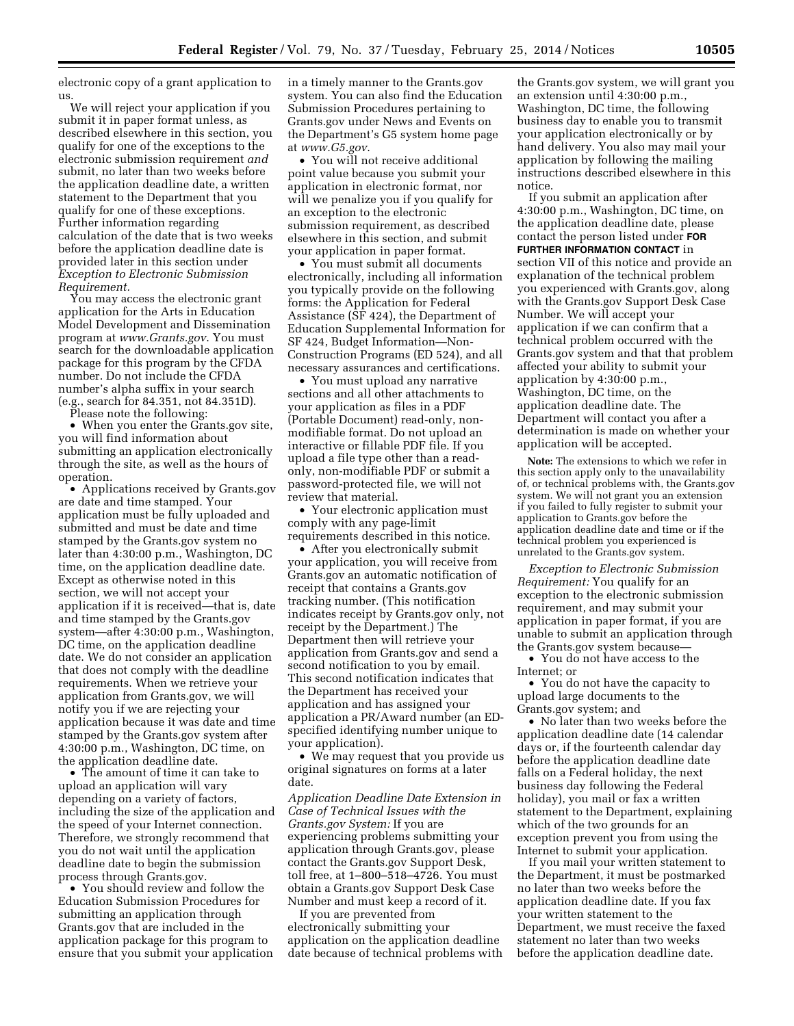electronic copy of a grant application to us.

We will reject your application if you submit it in paper format unless, as described elsewhere in this section, you qualify for one of the exceptions to the electronic submission requirement *and*  submit, no later than two weeks before the application deadline date, a written statement to the Department that you qualify for one of these exceptions. Further information regarding calculation of the date that is two weeks before the application deadline date is provided later in this section under *Exception to Electronic Submission Requirement.* 

You may access the electronic grant application for the Arts in Education Model Development and Dissemination program at *[www.Grants.gov](http://www.Grants.gov)*. You must search for the downloadable application package for this program by the CFDA number. Do not include the CFDA number's alpha suffix in your search (e.g., search for 84.351, not 84.351D).

Please note the following:

• When you enter the Grants.gov site, you will find information about submitting an application electronically through the site, as well as the hours of operation.

• Applications received by Grants.gov are date and time stamped. Your application must be fully uploaded and submitted and must be date and time stamped by the Grants.gov system no later than 4:30:00 p.m., Washington, DC time, on the application deadline date. Except as otherwise noted in this section, we will not accept your application if it is received—that is, date and time stamped by the Grants.gov system—after 4:30:00 p.m., Washington, DC time, on the application deadline date. We do not consider an application that does not comply with the deadline requirements. When we retrieve your application from Grants.gov, we will notify you if we are rejecting your application because it was date and time stamped by the Grants.gov system after 4:30:00 p.m., Washington, DC time, on the application deadline date.

• The amount of time it can take to upload an application will vary depending on a variety of factors, including the size of the application and the speed of your Internet connection. Therefore, we strongly recommend that you do not wait until the application deadline date to begin the submission process through Grants.gov.

• You should review and follow the Education Submission Procedures for submitting an application through Grants.gov that are included in the application package for this program to ensure that you submit your application in a timely manner to the Grants.gov system. You can also find the Education Submission Procedures pertaining to Grants.gov under News and Events on the Department's G5 system home page at *[www.G5.gov](http://www.G5.gov)*.

• You will not receive additional point value because you submit your application in electronic format, nor will we penalize you if you qualify for an exception to the electronic submission requirement, as described elsewhere in this section, and submit your application in paper format.

• You must submit all documents electronically, including all information you typically provide on the following forms: the Application for Federal Assistance (SF 424), the Department of Education Supplemental Information for SF 424, Budget Information—Non-Construction Programs (ED 524), and all necessary assurances and certifications.

• You must upload any narrative sections and all other attachments to your application as files in a PDF (Portable Document) read-only, nonmodifiable format. Do not upload an interactive or fillable PDF file. If you upload a file type other than a readonly, non-modifiable PDF or submit a password-protected file, we will not review that material.

• Your electronic application must comply with any page-limit requirements described in this notice.

• After you electronically submit your application, you will receive from Grants.gov an automatic notification of receipt that contains a Grants.gov tracking number. (This notification indicates receipt by Grants.gov only, not receipt by the Department.) The Department then will retrieve your application from Grants.gov and send a second notification to you by email. This second notification indicates that the Department has received your application and has assigned your application a PR/Award number (an EDspecified identifying number unique to your application).

• We may request that you provide us original signatures on forms at a later date.

*Application Deadline Date Extension in Case of Technical Issues with the Grants.gov System:* If you are experiencing problems submitting your application through Grants.gov, please contact the Grants.gov Support Desk, toll free, at 1–800–518–4726. You must obtain a Grants.gov Support Desk Case Number and must keep a record of it.

If you are prevented from electronically submitting your application on the application deadline date because of technical problems with

the Grants.gov system, we will grant you an extension until 4:30:00 p.m., Washington, DC time, the following business day to enable you to transmit your application electronically or by hand delivery. You also may mail your application by following the mailing instructions described elsewhere in this notice.

If you submit an application after 4:30:00 p.m., Washington, DC time, on the application deadline date, please contact the person listed under **FOR FURTHER INFORMATION CONTACT** in section VII of this notice and provide an explanation of the technical problem you experienced with Grants.gov, along with the Grants.gov Support Desk Case Number. We will accept your application if we can confirm that a technical problem occurred with the Grants.gov system and that that problem affected your ability to submit your application by 4:30:00 p.m., Washington, DC time, on the application deadline date. The Department will contact you after a determination is made on whether your application will be accepted.

**Note:** The extensions to which we refer in this section apply only to the unavailability of, or technical problems with, the Grants.gov system. We will not grant you an extension if you failed to fully register to submit your application to Grants.gov before the application deadline date and time or if the technical problem you experienced is unrelated to the Grants.gov system.

*Exception to Electronic Submission Requirement:* You qualify for an exception to the electronic submission requirement, and may submit your application in paper format, if you are unable to submit an application through the Grants.gov system because—

• You do not have access to the Internet; or

• You do not have the capacity to upload large documents to the Grants.gov system; and

• No later than two weeks before the application deadline date (14 calendar days or, if the fourteenth calendar day before the application deadline date falls on a Federal holiday, the next business day following the Federal holiday), you mail or fax a written statement to the Department, explaining which of the two grounds for an exception prevent you from using the Internet to submit your application.

If you mail your written statement to the Department, it must be postmarked no later than two weeks before the application deadline date. If you fax your written statement to the Department, we must receive the faxed statement no later than two weeks before the application deadline date.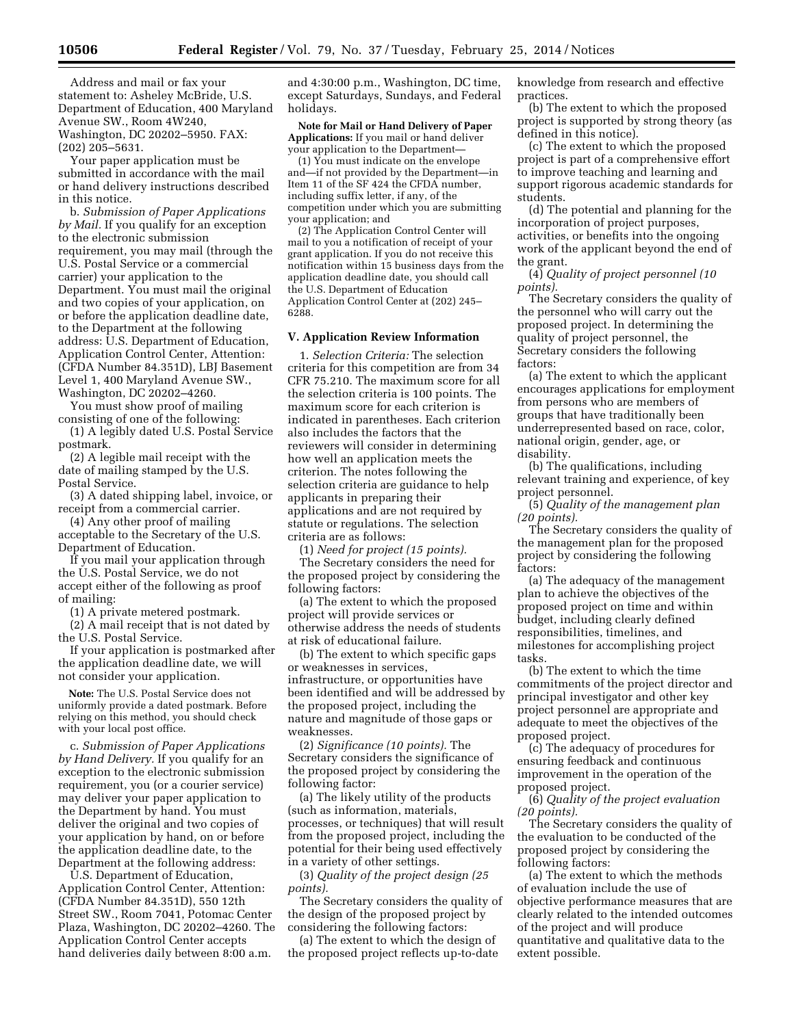Address and mail or fax your statement to: Asheley McBride, U.S. Department of Education, 400 Maryland Avenue SW., Room 4W240, Washington, DC 20202–5950. FAX: (202) 205–5631.

Your paper application must be submitted in accordance with the mail or hand delivery instructions described in this notice.

b. *Submission of Paper Applications by Mail.* If you qualify for an exception to the electronic submission requirement, you may mail (through the U.S. Postal Service or a commercial carrier) your application to the Department. You must mail the original and two copies of your application, on or before the application deadline date, to the Department at the following address: U.S. Department of Education, Application Control Center, Attention: (CFDA Number 84.351D), LBJ Basement Level 1, 400 Maryland Avenue SW., Washington, DC 20202–4260.

You must show proof of mailing consisting of one of the following:

(1) A legibly dated U.S. Postal Service postmark.

(2) A legible mail receipt with the date of mailing stamped by the U.S. Postal Service.

(3) A dated shipping label, invoice, or receipt from a commercial carrier.

(4) Any other proof of mailing acceptable to the Secretary of the U.S. Department of Education.

If you mail your application through the U.S. Postal Service, we do not accept either of the following as proof of mailing:

(1) A private metered postmark.

(2) A mail receipt that is not dated by the U.S. Postal Service.

If your application is postmarked after the application deadline date, we will not consider your application.

**Note:** The U.S. Postal Service does not uniformly provide a dated postmark. Before relying on this method, you should check with your local post office.

c. *Submission of Paper Applications by Hand Delivery.* If you qualify for an exception to the electronic submission requirement, you (or a courier service) may deliver your paper application to the Department by hand. You must deliver the original and two copies of your application by hand, on or before the application deadline date, to the Department at the following address:

U.S. Department of Education, Application Control Center, Attention: (CFDA Number 84.351D), 550 12th Street SW., Room 7041, Potomac Center Plaza, Washington, DC 20202–4260. The Application Control Center accepts hand deliveries daily between 8:00 a.m.

and 4:30:00 p.m., Washington, DC time, except Saturdays, Sundays, and Federal holidays.

**Note for Mail or Hand Delivery of Paper Applications:** If you mail or hand deliver your application to the Department—

(1) You must indicate on the envelope and—if not provided by the Department—in Item 11 of the SF 424 the CFDA number, including suffix letter, if any, of the competition under which you are submitting your application; and

(2) The Application Control Center will mail to you a notification of receipt of your grant application. If you do not receive this notification within 15 business days from the application deadline date, you should call the U.S. Department of Education Application Control Center at (202) 245– 6288.

### **V. Application Review Information**

1. *Selection Criteria:* The selection criteria for this competition are from 34 CFR 75.210. The maximum score for all the selection criteria is 100 points. The maximum score for each criterion is indicated in parentheses. Each criterion also includes the factors that the reviewers will consider in determining how well an application meets the criterion. The notes following the selection criteria are guidance to help applicants in preparing their applications and are not required by statute or regulations. The selection criteria are as follows:

(1) *Need for project (15 points).* 

The Secretary considers the need for the proposed project by considering the following factors:

(a) The extent to which the proposed project will provide services or otherwise address the needs of students at risk of educational failure.

(b) The extent to which specific gaps or weaknesses in services, infrastructure, or opportunities have been identified and will be addressed by the proposed project, including the nature and magnitude of those gaps or weaknesses.

(2) *Significance (10 points).* The Secretary considers the significance of the proposed project by considering the following factor:

(a) The likely utility of the products (such as information, materials, processes, or techniques) that will result from the proposed project, including the potential for their being used effectively in a variety of other settings.

(3) *Quality of the project design (25 points).* 

The Secretary considers the quality of the design of the proposed project by considering the following factors:

(a) The extent to which the design of the proposed project reflects up-to-date knowledge from research and effective practices.

(b) The extent to which the proposed project is supported by strong theory (as defined in this notice).

(c) The extent to which the proposed project is part of a comprehensive effort to improve teaching and learning and support rigorous academic standards for students.

(d) The potential and planning for the incorporation of project purposes, activities, or benefits into the ongoing work of the applicant beyond the end of the grant.

(4) *Quality of project personnel (10 points).* 

The Secretary considers the quality of the personnel who will carry out the proposed project. In determining the quality of project personnel, the Secretary considers the following factors:

(a) The extent to which the applicant encourages applications for employment from persons who are members of groups that have traditionally been underrepresented based on race, color, national origin, gender, age, or disability.

(b) The qualifications, including relevant training and experience, of key project personnel.

(5) *Quality of the management plan (20 points).* 

The Secretary considers the quality of the management plan for the proposed project by considering the following factors:

(a) The adequacy of the management plan to achieve the objectives of the proposed project on time and within budget, including clearly defined responsibilities, timelines, and milestones for accomplishing project tasks.

(b) The extent to which the time commitments of the project director and principal investigator and other key project personnel are appropriate and adequate to meet the objectives of the proposed project.

(c) The adequacy of procedures for ensuring feedback and continuous improvement in the operation of the proposed project.

(6) *Quality of the project evaluation (20 points).* 

The Secretary considers the quality of the evaluation to be conducted of the proposed project by considering the following factors:

(a) The extent to which the methods of evaluation include the use of objective performance measures that are clearly related to the intended outcomes of the project and will produce quantitative and qualitative data to the extent possible.